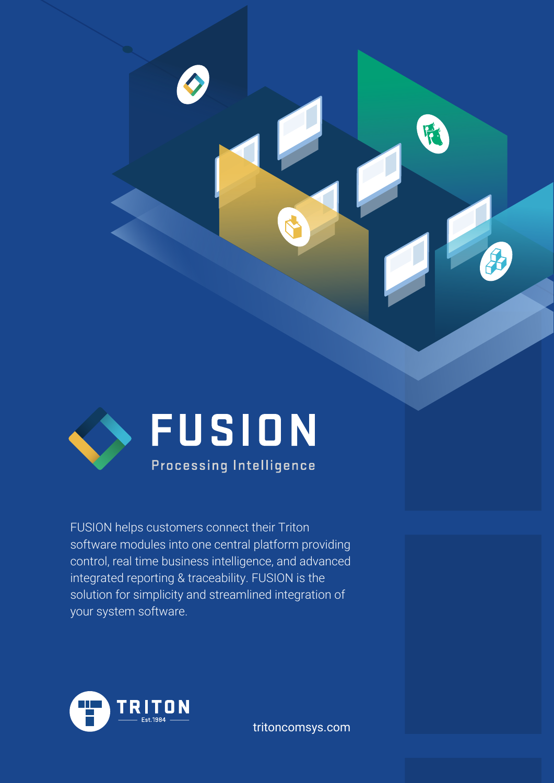

FUSION helps customers connect their Triton software modules into one central platform providing control, real time business intelligence, and advanced integrated reporting & traceability. FUSION is the solution for simplicity and streamlined integration of your system software.



tritoncomsys.com

F.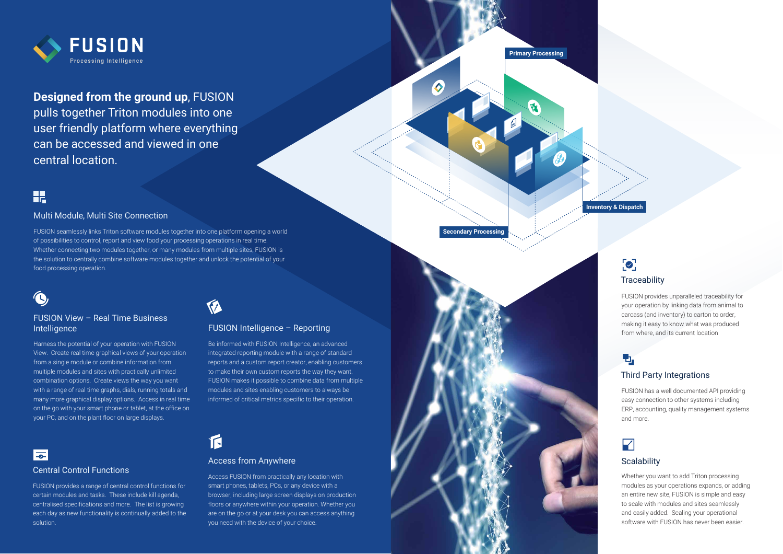FUSION seamlessly links Triton software modules together into one platform opening a world of possibilities to control, report and view food your processing operations in real time. Whether connecting two modules together, or many modules from multiple sites, FUSION is the solution to centrally combine software modules together and unlock the potential of your food processing operation.



## Multi Module, Multi Site Connection

Harness the potential of your operation with FUSION View. Create real time graphical views of your operation from a single module or combine information from multiple modules and sites with practically unlimited combination options. Create views the way you want with a range of real time graphs, dials, running totals and many more graphical display options. Access in real time on the go with your smart phone or tablet, at the office on your PC, and on the plant floor on large displays.



### FUSION View – Real Time Business Intelligence

Be informed with FUSION Intelligence, an advanced integrated reporting module with a range of standard reports and a custom report creator, enabling customers to make their own custom reports the way they want. FUSION makes it possible to combine data from multiple modules and sites enabling customers to always be informed of critical metrics specific to their operation.



## FUSION Intelligence – Reporting

### Central Control Functions



**Designed from the ground up**, FUSION pulls together Triton modules into one user friendly platform where everything can be accessed and viewed in one central location.

# H

FUSION provides a range of central control functions for certain modules and tasks. These include kill agenda, centralised specifications and more. The list is growing each day as new functionality is continually added to the solution.



### Access from Anywhere

Access FUSION from practically any location with smart phones, tablets, PCs, or any device with a browser, including large screen displays on production floors or anywhere within your operation. Whether you are on the go or at your desk you can access anything you need with the device of your choice.

FUSION provides unparalleled traceability for your operation by linking data from animal to carcass (and inventory) to carton to order, making it easy to know what was produced from where, and its current location

## ъ.

## Third Party Integrations

FUSION has a well documented API providing easy connection to other systems including ERP, accounting, quality management systems and more.

## $\overline{\mathbf{Y}}$

## **Scalability**

Whether you want to add Triton processing modules as your operations expands, or adding an entire new site, FUSION is simple and easy to scale with modules and sites seamlessly and easily added. Scaling your operational software with FUSION has never been easier.

**Primary Processing**

**Secondary Processing**



## $\bullet$ **Traceability**